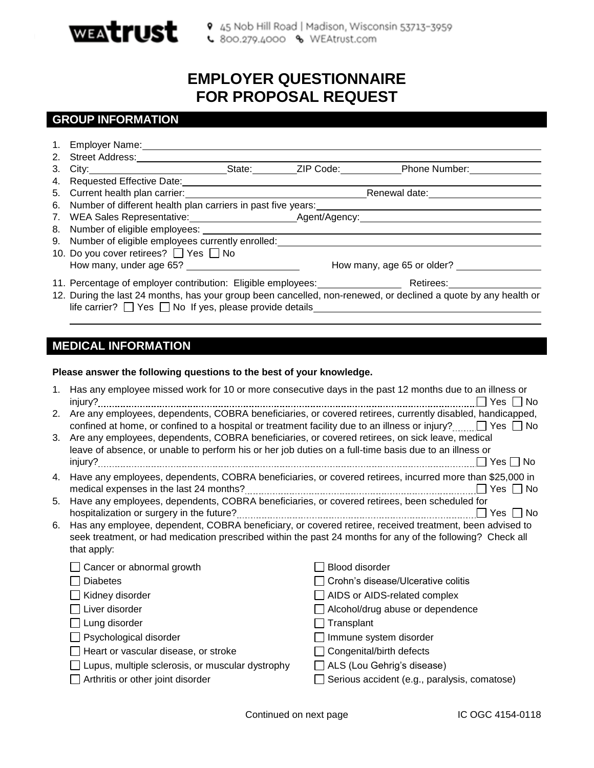

# **EMPLOYER QUESTIONNAIRE FOR PROPOSAL REQUEST**

# **GROUP INFORMATION**

|                                                                                                                 |                                                                   |  |  | 3. City: City: City: City: City: City: City: City: City: City: City: City: City: City: City: City: City: City: City: City: City: City: City: City: City: City: City: City: City: City: City: City: City: City: City: City: Cit |  |
|-----------------------------------------------------------------------------------------------------------------|-------------------------------------------------------------------|--|--|--------------------------------------------------------------------------------------------------------------------------------------------------------------------------------------------------------------------------------|--|
|                                                                                                                 |                                                                   |  |  |                                                                                                                                                                                                                                |  |
|                                                                                                                 |                                                                   |  |  | Renewal date:<br><u>Example</u>                                                                                                                                                                                                |  |
|                                                                                                                 |                                                                   |  |  |                                                                                                                                                                                                                                |  |
|                                                                                                                 |                                                                   |  |  |                                                                                                                                                                                                                                |  |
|                                                                                                                 |                                                                   |  |  |                                                                                                                                                                                                                                |  |
|                                                                                                                 | 9. Number of eligible employees currently enrolled:               |  |  |                                                                                                                                                                                                                                |  |
|                                                                                                                 | 10. Do you cover retirees? □ Yes □ No                             |  |  |                                                                                                                                                                                                                                |  |
|                                                                                                                 |                                                                   |  |  | How many, age 65 or older?                                                                                                                                                                                                     |  |
|                                                                                                                 |                                                                   |  |  | 11. Percentage of employer contribution: Eligible employees: Retirees: Retirees:                                                                                                                                               |  |
| 12. During the last 24 months, has your group been cancelled, non-renewed, or declined a quote by any health or |                                                                   |  |  |                                                                                                                                                                                                                                |  |
|                                                                                                                 | life carrier? $\Box$ Yes $\Box$ No If yes, please provide details |  |  |                                                                                                                                                                                                                                |  |
|                                                                                                                 |                                                                   |  |  |                                                                                                                                                                                                                                |  |
|                                                                                                                 |                                                                   |  |  |                                                                                                                                                                                                                                |  |

# **MEDICAL INFORMATION**

#### **Please answer the following questions to the best of your knowledge.**

| 1. | Has any employee missed work for 10 or more consecutive days in the past 12 months due to an illness or<br>injury?                                                                                        | Yes I INo                                                                                                  |  |  |  |  |  |
|----|-----------------------------------------------------------------------------------------------------------------------------------------------------------------------------------------------------------|------------------------------------------------------------------------------------------------------------|--|--|--|--|--|
| 2. | Are any employees, dependents, COBRA beneficiaries, or covered retirees, currently disabled, handicapped,                                                                                                 |                                                                                                            |  |  |  |  |  |
|    | confined at home, or confined to a hospital or treatment facility due to an illness or injury? $\Box$ Yes $\Box$ No                                                                                       |                                                                                                            |  |  |  |  |  |
| 3. | Are any employees, dependents, COBRA beneficiaries, or covered retirees, on sick leave, medical<br>leave of absence, or unable to perform his or her job duties on a full-time basis due to an illness or |                                                                                                            |  |  |  |  |  |
|    |                                                                                                                                                                                                           |                                                                                                            |  |  |  |  |  |
|    |                                                                                                                                                                                                           | $\Box$ Yes $\Box$ No                                                                                       |  |  |  |  |  |
| 4. | Have any employees, dependents, COBRA beneficiaries, or covered retirees, incurred more than \$25,000 in                                                                                                  |                                                                                                            |  |  |  |  |  |
| 5. | Have any employees, dependents, COBRA beneficiaries, or covered retirees, been scheduled for                                                                                                              |                                                                                                            |  |  |  |  |  |
|    | hospitalization or surgery in the future?                                                                                                                                                                 | Yes     No                                                                                                 |  |  |  |  |  |
| 6. | Has any employee, dependent, COBRA beneficiary, or covered retiree, received treatment, been advised to                                                                                                   |                                                                                                            |  |  |  |  |  |
|    |                                                                                                                                                                                                           | seek treatment, or had medication prescribed within the past 24 months for any of the following? Check all |  |  |  |  |  |
|    | that apply:                                                                                                                                                                                               |                                                                                                            |  |  |  |  |  |
|    | Cancer or abnormal growth                                                                                                                                                                                 | Blood disorder                                                                                             |  |  |  |  |  |
|    | <b>Diabetes</b>                                                                                                                                                                                           | Crohn's disease/Ulcerative colitis                                                                         |  |  |  |  |  |
|    | Kidney disorder                                                                                                                                                                                           | AIDS or AIDS-related complex                                                                               |  |  |  |  |  |
|    | Liver disorder                                                                                                                                                                                            | Alcohol/drug abuse or dependence                                                                           |  |  |  |  |  |
|    | Lung disorder                                                                                                                                                                                             | $\Box$ Transplant                                                                                          |  |  |  |  |  |
|    | Psychological disorder                                                                                                                                                                                    | Immune system disorder                                                                                     |  |  |  |  |  |
|    | Heart or vascular disease, or stroke                                                                                                                                                                      | Congenital/birth defects                                                                                   |  |  |  |  |  |
|    | Lupus, multiple sclerosis, or muscular dystrophy                                                                                                                                                          | $\Box$ ALS (Lou Gehrig's disease)                                                                          |  |  |  |  |  |
|    | Arthritis or other joint disorder                                                                                                                                                                         | Serious accident (e.g., paralysis, comatose)                                                               |  |  |  |  |  |